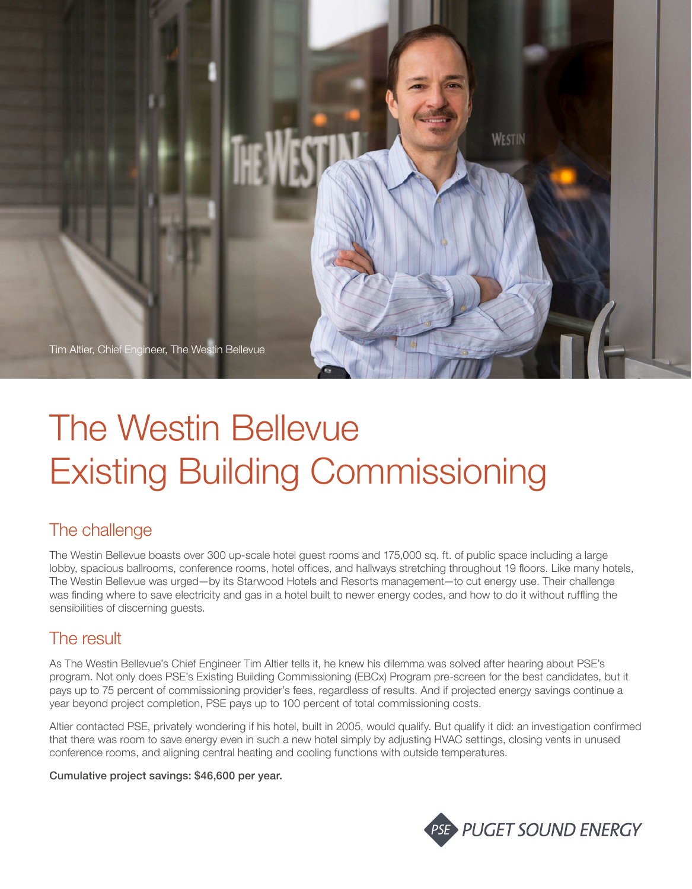

# The Westin Bellevue Existing Building Commissioning

# The challenge

The Westin Bellevue boasts over 300 up-scale hotel guest rooms and 175,000 sq. ft. of public space including a large lobby, spacious ballrooms, conference rooms, hotel offices, and hallways stretching throughout 19 floors. Like many hotels, The Westin Bellevue was urged—by its Starwood Hotels and Resorts management—to cut energy use. Their challenge was finding where to save electricity and gas in a hotel built to newer energy codes, and how to do it without ruffling the sensibilities of discerning guests.

## The result

As The Westin Bellevue's Chief Engineer Tim Altier tells it, he knew his dilemma was solved after hearing about PSE's program. Not only does PSE's Existing Building Commissioning (EBCx) Program pre-screen for the best candidates, but it pays up to 75 percent of commissioning provider's fees, regardless of results. And if projected energy savings continue a year beyond project completion, PSE pays up to 100 percent of total commissioning costs.

Altier contacted PSE, privately wondering if his hotel, built in 2005, would qualify. But qualify it did: an investigation confirmed that there was room to save energy even in such a new hotel simply by adjusting HVAC settings, closing vents in unused conference rooms, and aligning central heating and cooling functions with outside temperatures.

#### Cumulative project savings: \$46,600 per year.